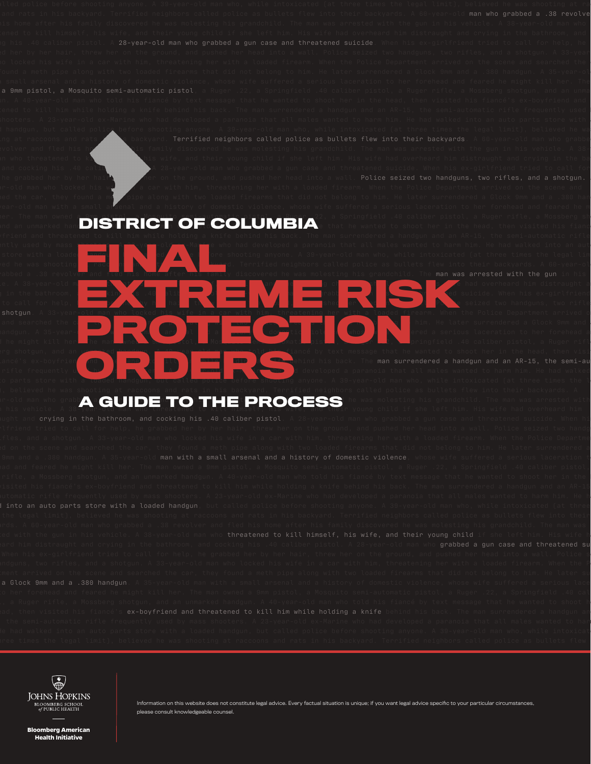ier. The man owned a 9mm pistol, a Mosquito semi-automatic pistol, a Ruger 22, a Springfield .40 caliber pistol, a Ruger rifle, a Mossberg sh an unmarked han**d is a text message to the COLUMBIA**: that he wanted to shoot her in the head, then visited his fiance

frequently used by mass show a 23-year-old ex-Marine who had developed a paranoia that all males wanted to harm him. He had walked into an aut parts of the loaded **handed police police police before** shooting anyone. A 39-year-old man who, while intoxicated (at three times the legal lim red he was shooting a raccoons in the state of a ratified neighbors called police as bullets flew into their backyards. A 60-year-old manner  $\epsilon$ vehicle to kill himself, himself, himself, and their young child if she left himself, himself, himself, himself, himself, himself, himself, himself, himself, himself, him. Himself, him. Himself, himself, him distraught an in the bathroom, and cocking his .40 caliber pistol. A 28-year-old man who grade suicide. When his ex-girlfriend **FINAL PROPERTY AND RESIDENCE OF SHOP SHOP** 

to call for help, he grade to the grabbed her by her hair, the grabbed her hair, threw here into a wall. Police seized two handguns, two rifle and searched the car method a method with two loads with two loaded firearms that did not be later surrendered a Glock 9mm and .385-year-old man with a small arsenal and a small and a small and a serious laceration to her forehead and a history of domestic violence, whose wife suffered a serious laceration to her forehead a feared he might kill her. The man when  $\delta$ mm pistol, a Ruger rifle, a Springfield .40 caliber pistol, a Ruger rifl rg shotgun, and an unmarked handgun. A 40-year-old man who told his fiancé by text message that he wanted to shoot her in the head, then visi man surrendered a handgun and an AR-15, the semi-au matic frequently used by many series. The mass shows the who had developed a paranoia that all males wanted to harm him. He had walked to parts store with a loaded handgun, but called police before shooting anyone. A 39-year-old man who, while intoxicated (at three times the l **EXTREME RISK OF THE RISK OF THE SCRIPT OF THE RISK OF THE RISK OF THE RISK OF THE RISK OF THE RISK OF THE RISK OF THE RISK OF THE RISK OF THE RISK OF THE RISK OF THE RISK OF THE RISK OF THE RISK OF THE RISK OF THE RISK OF PROTECTION ORDERS**

man who grabbed a .38 revolve

Police seized two handguns, two rifles, and a shotgun.

## ir-old man who grabb $\bigwedge$   $\bigcap$  if  $\bigcap$   $\bigcap$   $\bigcap$   $\bigcap$   $\bigcap$   $\bigcap$   $\bigcap$   $\bigcap$   $\bigcap$   $\bigcap$   $\bigcap$   $\bigcap$   $\bigcap$   $\bigcap$   $\bigcap$   $\bigcap$   $\bigcap$   $\bigcap$   $\bigcap$   $\bigcap$   $\bigcap$   $\bigcap$   $\bigcap$   $\bigcap$   $\bigcap$   $\bigcap$   $\bigcap$   $\bigcap$   $\bigcap$   $\bigcap$   $\bigcap$ ir-old man who grabb**A a GUIDE TO THE PROCESS** he was molesting his grandchild. The man was arrested wit<br>I his vehicle. A 38-year-old man who threatened to kill himself, his wife, and their young child if she left him. His

man with a small arsenal and a history of domestic violence into an auto parts store with a loaded handgun ex-boyfriend and threatened to kill him while holding a knife

l handgun, but called polic<u>e</u> before shooting anyone. A 39-year-old man who, while intoxicated (at three times the legal limit), believed he wa

ir-old man who locked his wife in a car with him, threatening her with a loaded firearm. When the Police Department arrived on the scene and ed the car, they found a methology pipe along with two loaded firearms that did not belong to him. He later surrendered a Glock 9mm and a .380 han rear-old man with a small arsenal and a history of domestic violence, whose wife suffered a serious laceration to her forehead and feared he m

. volver and fled his home and his family discovered he was molesting his grandchild. The man was arrested with the gun in his vehicle. A 38in who threatened to kill himself his wife, and their young child if she left him. His wife had overheard him distraught and crying in the ba and cocking his .40 caliber pistol. A 28-year-old man who grabbed a gun case and threatened suicide. When his ex-girlfriend tried to call for



Information on this website does not constitute legal advice. Every factual situation is unique; if you want legal advice specific to your particular circumstances, please consult knowledgeable counsel.

**Bloomberg American Health Initiative**